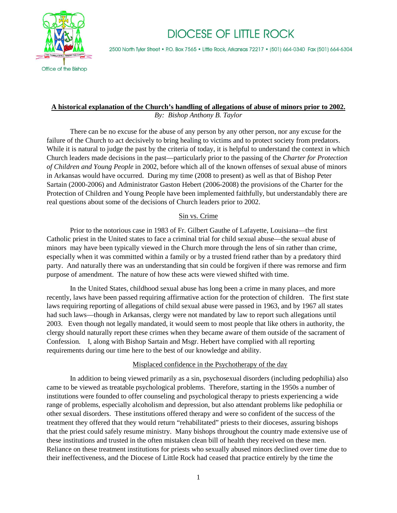

# **DIOCESE OF LITTLE ROCK**

2500 North Tyler Street • P.O. Box 7565 • Little Rock, Arkansas 72217 • (501) 664-0340 Fax (501) 664-6304

## **A historical explanation of the Church's handling of allegations of abuse of minors prior to 2002.**  *By: Bishop Anthony B. Taylor*

There can be no excuse for the abuse of any person by any other person, nor any excuse for the failure of the Church to act decisively to bring healing to victims and to protect society from predators. While it is natural to judge the past by the criteria of today, it is helpful to understand the context in which Church leaders made decisions in the past—particularly prior to the passing of the *Charter for Protection of Children and Young People* in 2002, before which all of the known offenses of sexual abuse of minors in Arkansas would have occurred. During my time (2008 to present) as well as that of Bishop Peter Sartain (2000-2006) and Administrator Gaston Hebert (2006-2008) the provisions of the Charter for the Protection of Children and Young People have been implemented faithfully, but understandably there are real questions about some of the decisions of Church leaders prior to 2002.

## Sin vs. Crime

Prior to the notorious case in 1983 of Fr. Gilbert Gauthe of Lafayette, Louisiana—the first Catholic priest in the United states to face a criminal trial for child sexual abuse—the sexual abuse of minors may have been typically viewed in the Church more through the lens of sin rather than crime, especially when it was committed within a family or by a trusted friend rather than by a predatory third party. And naturally there was an understanding that sin could be forgiven if there was remorse and firm purpose of amendment. The nature of how these acts were viewed shifted with time.

In the United States, childhood sexual abuse has long been a crime in many places, and more recently, laws have been passed requiring affirmative action for the protection of children. The first state laws requiring reporting of allegations of child sexual abuse were passed in 1963, and by 1967 all states had such laws—though in Arkansas, clergy were not mandated by law to report such allegations until 2003. Even though not legally mandated, it would seem to most people that like others in authority, the clergy should naturally report these crimes when they became aware of them outside of the sacrament of Confession. I, along with Bishop Sartain and Msgr. Hebert have complied with all reporting requirements during our time here to the best of our knowledge and ability.

### Misplaced confidence in the Psychotherapy of the day

In addition to being viewed primarily as a sin, psychosexual disorders (including pedophilia) also came to be viewed as treatable psychological problems. Therefore, starting in the 1950s a number of institutions were founded to offer counseling and psychological therapy to priests experiencing a wide range of problems, especially alcoholism and depression, but also attendant problems like pedophilia or other sexual disorders. These institutions offered therapy and were so confident of the success of the treatment they offered that they would return "rehabilitated" priests to their dioceses, assuring bishops that the priest could safely resume ministry. Many bishops throughout the country made extensive use of these institutions and trusted in the often mistaken clean bill of health they received on these men. Reliance on these treatment institutions for priests who sexually abused minors declined over time due to their ineffectiveness, and the Diocese of Little Rock had ceased that practice entirely by the time the